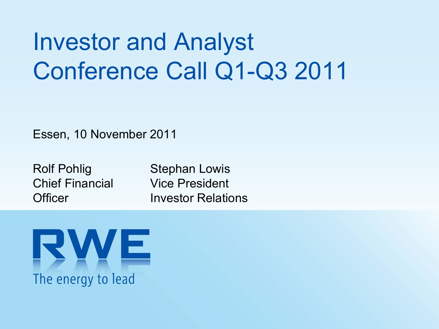# Investor and Analyst Conference Call Q1-Q3 2011

Essen, 10 November 2011

Rolf Pohlig Chief Financial**Officer** 

Stephan Lowis Vice President Investor Relations

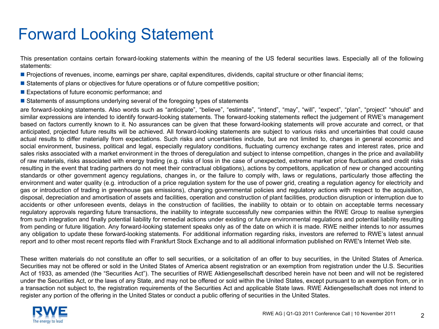### Forward Looking Statement

This presentation contains certain forward-looking statements within the meaning of the US federal securities laws. Especially all of the following statements:

- Projections of revenues, income, earnings per share, capital expenditures, dividends, capital structure or other financial items;
- **Statements of plans or objectives for future operations or of future competitive position**;
- **Expectations of future economic performance; and**
- **Statements of assumptions underlying several of the foregoing types of statements**

are forward-looking statements. Also words such as "anticipate", "believe", "estimate", "intend", "may", "will", "expect", "plan", "project" "should" and similar expressions are intended to identify forward-looking statements. The forward-looking statements reflect the judgement of RWE's management based on factors currently known to it. No assurances can be given that these forward-looking statements will prove accurate and correct, or that anticipated, projected future results will be achieved. All forward-looking statements are subject to various risks and uncertainties that could cause actual results to differ materially from expectations. Such risks and uncertainties include, but are not limited to, changes in general economic and social environment, business, political and legal, especially regulatory conditions, fluctuating currency exchange rates and interest rates, price and sales risks associated with a market environment in the throes of deregulation and subject to intense competition, changes in the price and availability of raw materials, risks associated with energy trading (e.g. risks of loss in the case of unexpected, extreme market price fluctuations and credit risks resulting in the event that trading partners do not meet their contractual obligations), actions by competitors, application of new or changed accounting standards or other government agency regulations, changes in, or the failure to comply with, laws or regulations, particularly those affecting the environment and water quality (e.g. introduction of a price regulation system for the use of power grid, creating a regulation agency for electricity and gas or introduction of trading in greenhouse gas emissions), changing governmental policies and regulatory actions with respect to the acquisition, disposal, depreciation and amortisation of assets and facilities, operation and construction of plant facilities, production disruption or interruption due to accidents or other unforeseen events, delays in the construction of facilities, the inability to obtain or to obtain on acceptable terms necessary regulatory approvals regarding future transactions, the inability to integrate successfully new companies within the RWE Group to realise synergies from such integration and finally potential liability for remedial actions under existing or future environmental regulations and potential liability resulting from pending or future litigation. Any forward-looking statement speaks only as of the date on which it is made. RWE neither intends to nor assumes any obligation to update these forward-looking statements. For additional information regarding risks, investors are referred to RWE's latest annual report and to other most recent reports filed with Frankfurt Stock Exchange and to all additional information published on RWE's Internet Web site.

These written materials do not constitute an offer to sell securities, or a solicitation of an offer to buy securities, in the United States of America. Securities may not be offered or sold in the United States of America absent registration or an exemption from registration under the U.S. Securities Act of 1933, as amended (the "Securities Act"). The securities of RWE Aktiengesellschaft described herein have not been and will not be registered under the Securities Act, or the laws of any State, and may not be offered or sold within the United States, except pursuant to an exemption from, or in a transaction not subject to, the registration requirements of the Securities Act and applicable State laws. RWE Aktiengesellschaft does not intend to register any portion of the offering in the United States or conduct a public offering of securities in the United States.

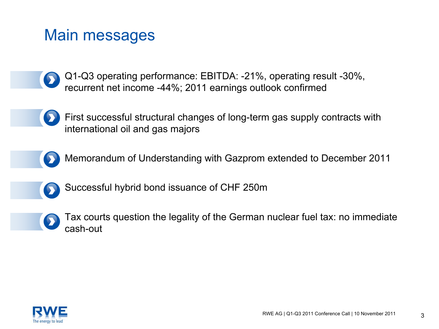#### Main messages

- Q1-Q3 operating performance: EBITDA: -21%, operating result -30%, recurrent net income -44%; 2011 earnings outlook confirmed
- First successful structural changes of long-term gas supply contracts with international oil and gas majors
- 
- Memorandum of Understanding with Gazprom extended to December 2011



Successful hybrid bond issuance of CHF 250m



Tax courts question the legality of the German nuclear fuel tax: no immediate cash-out

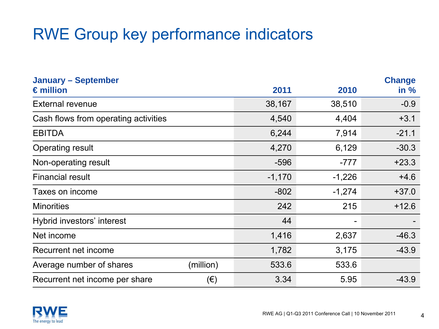### RWE Group key performance indicators

| <b>January - September</b>           |           |          |          | <b>Change</b> |
|--------------------------------------|-----------|----------|----------|---------------|
| $\epsilon$ million                   |           | 2011     | 2010     | in %          |
| <b>External revenue</b>              |           | 38,167   | 38,510   | $-0.9$        |
| Cash flows from operating activities |           | 4,540    | 4,404    | $+3.1$        |
| <b>EBITDA</b>                        |           | 6,244    | 7,914    | $-21.1$       |
| <b>Operating result</b>              |           | 4,270    | 6,129    | $-30.3$       |
| Non-operating result                 |           | $-596$   | $-777$   | $+23.3$       |
| <b>Financial result</b>              |           | $-1,170$ | $-1,226$ | $+4.6$        |
| Taxes on income                      |           | $-802$   | $-1,274$ | $+37.0$       |
| <b>Minorities</b>                    |           | 242      | 215      | $+12.6$       |
| Hybrid investors' interest           |           | 44       | -        |               |
| Net income                           |           | 1,416    | 2,637    | $-46.3$       |
| Recurrent net income                 |           | 1,782    | 3,175    | $-43.9$       |
| Average number of shares             | (million) | 533.6    | 533.6    |               |
| Recurrent net income per share       | $(\in)$   | 3.34     | 5.95     | $-43.9$       |

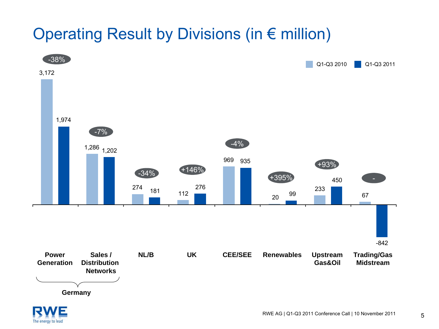### Operating Result by Divisions (in € million)



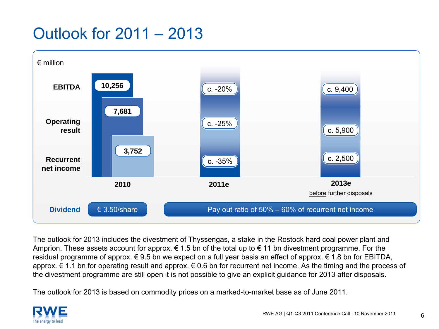### Outlook for 2011 – 2013



The outlook for 2013 includes the divestment of Thyssengas, a stake in the Rostock hard coal power plant and Amprion. These assets account for approx.  $\epsilon$  1.5 bn of the total up to  $\epsilon$  11 bn divestment programme. For the residual programme of approx. € 9.5 bn we expect on a full year basis an effect of approx. € 1.8 bn for EBITDA, approx. € 1.1 bn for operating result and approx. € 0.6 bn for recurrent net income. As the timing and the process of the divestment programme are still open it is not possible to give an explicit guidance for 2013 after disposals.

The outlook for 2013 is based on commodity prices on a marked-to-market base as of June 2011.

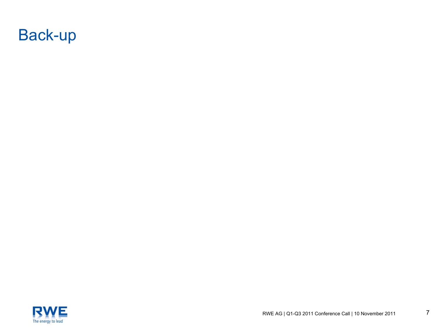



7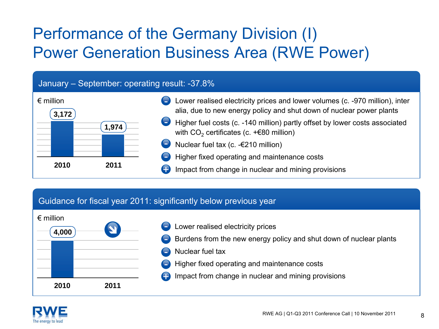### Performance of the Germany Division (I) Power Generation Business Area (RWE Power)

#### January – September: operating result: -37.8%



#### Guidance for fiscal year 2011: significantly below previous year



- Lower realised electricity prices
- Burdens from the new energy policy and shut down of nuclear plants
- Nuclear fuel tax
- Higher fixed operating and maintenance costs
- Impact from change in nuclear and mining provisions +

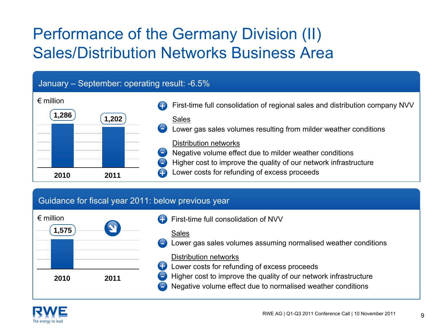### Performance of the Germany Division (II) Sales/Distribution Networks Business Area

#### January – September: operating result: -6.5%



#### Guidance for fiscal year 2011: below previous year



- First-time full consolidation of NVV
- Lower gas sales volumes assuming normalised weather conditions

#### Distribution networks

- **Lower costs for refunding of excess proceeds** 
	- Higher cost to improve the quality of our network infrastructure
	- Negative volume effect due to normalised weather conditions

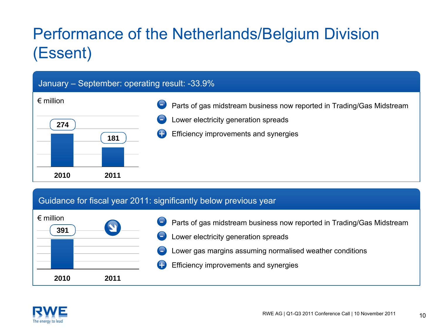### Performance of the Netherlands/Belgium Division (Essent)

#### January – September: operating result: -33.9% € million**20102741812011**Parts of gas midstream business now reported in Trading/Gas Midstream Lower electricity generation spreads +Efficiency improvements and synergies

#### Guidance for fiscal year 2011: significantly below previous year



- Parts of gas midstream business now reported in Trading/Gas Midstream Lower electricity generation spreads Lower gas margins assuming normalised weather conditions -
	- +Efficiency improvements and synergies

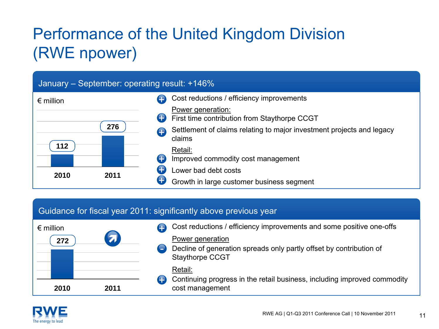### Performance of the United Kingdom Division (RWE npower)

#### January – September: operating result: +146%



#### Guidance for fiscal year 2011: significantly above previous year

| $\epsilon$ million<br>$\overline{\mathbf{z}}$<br>272 |   | Cost reductions / efficiency improvements and some positive one-offs<br>Power generation<br>Decline of generation spreads only partly offset by contribution of<br><b>Staythorpe CCGT</b> |
|------------------------------------------------------|---|-------------------------------------------------------------------------------------------------------------------------------------------------------------------------------------------|
| 2010<br>2011                                         | 9 | Retail:<br>Continuing progress in the retail business, including improved commodity<br>cost management                                                                                    |

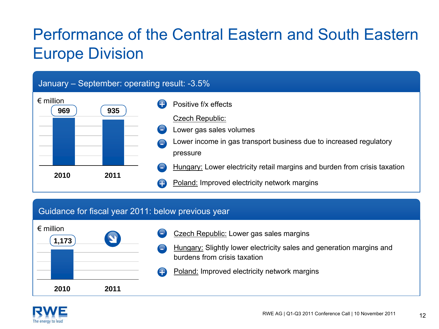### Performance of the Central Eastern and South Eastern Europe Division

#### January – September: operating result: -3.5%



#### Guidance for fiscal year 2011: below previous year

| $\epsilon$ million<br>1,173 | $\blacktriangle$ | Czech Republic: Lower gas sales margins<br>$\overline{\phantom{0}}$<br>Hungary: Slightly lower electricity sales and generation margins and<br>burdens from crisis taxation |
|-----------------------------|------------------|-----------------------------------------------------------------------------------------------------------------------------------------------------------------------------|
|                             |                  | Poland: Improved electricity network margins<br>Ð                                                                                                                           |
| 2010                        | 2011             |                                                                                                                                                                             |

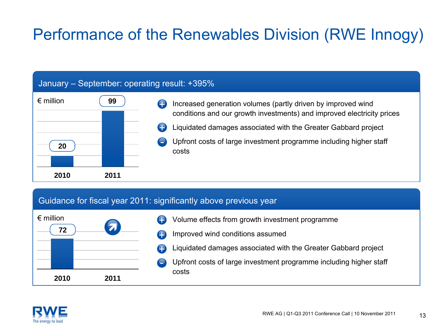### Performance of the Renewables Division (RWE Innogy)

#### January – September: operating result: +395%

| $\epsilon$ million | 99   |      | Increased generation volumes (partly driven by improved wind<br>conditions and our growth investments) and improved electricity prices |
|--------------------|------|------|----------------------------------------------------------------------------------------------------------------------------------------|
|                    |      | Ð    | Liquidated damages associated with the Greater Gabbard project                                                                         |
| 20                 |      | a an | Upfront costs of large investment programme including higher staff<br>costs                                                            |
| 2010               | 2011 |      |                                                                                                                                        |

#### Guidance for fiscal year 2011: significantly above previous year



- Volume effects from growth investment programme Improved wind conditions assumed +
- +
	- Liquidated damages associated with the Greater Gabbard project
- Upfront costs of large investment programme including higher staff costs

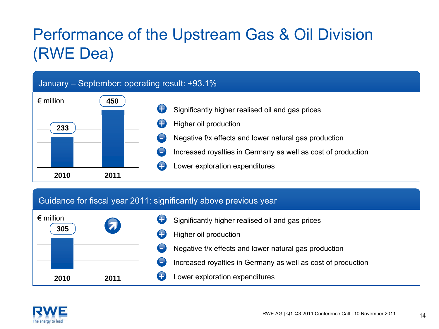### Performance of the Upstream Gas & Oil Division (RWE Dea)

#### January – September: operating result: +93.1%



#### Guidance for fiscal year 2011: significantly above previous year



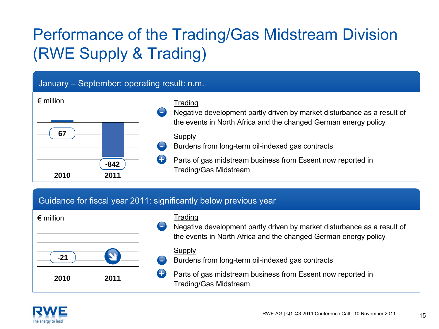### Performance of the Trading/Gas Midstream Division (RWE Supply & Trading)

#### January – September: operating result: n.m..

| $\epsilon$ million     |          | Trading                                                                                                                                    |
|------------------------|----------|--------------------------------------------------------------------------------------------------------------------------------------------|
|                        | <u>—</u> | Negative development partly driven by market disturbance as a result of<br>the events in North Africa and the changed German energy policy |
| 67                     |          | Supply<br>Burdens from long-term oil-indexed gas contracts                                                                                 |
| $-842$<br>2010<br>2011 |          | Parts of gas midstream business from Essent now reported in<br><b>Trading/Gas Midstream</b>                                                |

#### Guidance for fiscal year 2011: significantly below previous year

| $\epsilon$ million |      | ÷                        | Trading<br>Negative development partly driven by market disturbance as a result of<br>the events in North Africa and the changed German energy policy |
|--------------------|------|--------------------------|-------------------------------------------------------------------------------------------------------------------------------------------------------|
| $-21$              |      | $\overline{\phantom{a}}$ | Supply<br>Burdens from long-term oil-indexed gas contracts                                                                                            |
| 2010               | 2011 |                          | Parts of gas midstream business from Essent now reported in<br><b>Trading/Gas Midstream</b>                                                           |

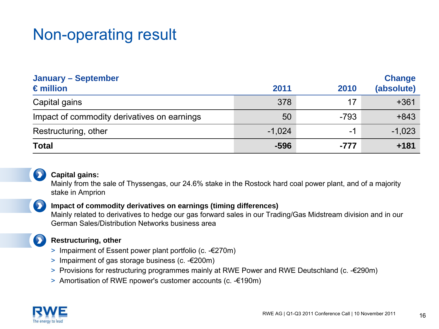### Non-operating result

| <b>January - September</b><br>$\epsilon$ million | 2011     | 2010   | <b>Change</b><br>(absolute) |
|--------------------------------------------------|----------|--------|-----------------------------|
| Capital gains                                    | 378      | 17     | $+361$                      |
| Impact of commodity derivatives on earnings      | 50       | $-793$ | $+843$                      |
| Restructuring, other                             | $-1,024$ | -1     | $-1,023$                    |
| <b>Total</b>                                     | $-596$   | $-777$ | $+181$                      |



 $\bullet$ 

 $\bullet$ 

#### **Capital gains:**

Mainly from the sale of Thyssengas, our 24.6% stake in the Rostock hard coal power plant, and of a majority stake in Amprion

#### **Impact of commodity derivatives on earnings (timing differences)**

Mainly related to derivatives to hedge our gas forward sales in our Trading/Gas Midstream division and in our German Sales/Distribution Networks business area

#### **Restructuring, other**

- > Impairment of Essent power plant portfolio (c. -€270m)
- > Impairment of gas storage business (c. -€200m)
- > Provisions for restructuring programmes mainly at RWE Power and RWE Deutschland (c. -€290m)
- > Amortisation of RWE npower's customer accounts (c. -€190m)

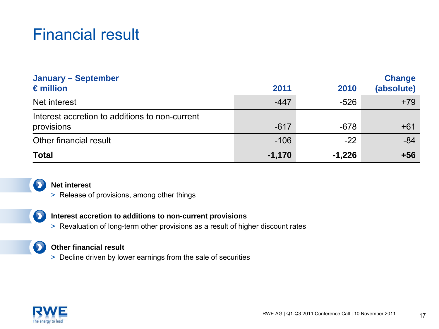### Financial result

| <b>January - September</b><br>$\epsilon$ million             | 2011     | 2010     | <b>Change</b><br>(absolute) |
|--------------------------------------------------------------|----------|----------|-----------------------------|
| Net interest                                                 | $-447$   | $-526$   | $+79$                       |
| Interest accretion to additions to non-current<br>provisions | $-617$   | $-678$   | $+61$                       |
| Other financial result                                       | $-106$   | $-22$    | $-84$                       |
| <b>Total</b>                                                 | $-1,170$ | $-1,226$ | $+56$                       |



#### **Net interest**

> Release of provisions, among other things

 $\mathbf{\Sigma}$ 

#### **Interest accretion to additions to non-current provisions**

> Revaluation of long-term other provisions as a result of higher discount rates

#### $\mathbf{\mathbf{\Sigma}}$ **Other financial result**

> Decline driven by lower earnings from the sale of securities

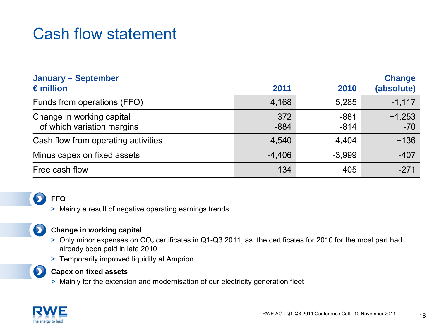#### Cash flow statement

| <b>January - September</b>                              |               |                  | <b>Change</b>     |  |
|---------------------------------------------------------|---------------|------------------|-------------------|--|
| $\epsilon$ million                                      | 2011          | 2010             | (absolute)        |  |
| Funds from operations (FFO)                             | 4,168         | 5,285            | $-1,117$          |  |
| Change in working capital<br>of which variation margins | 372<br>$-884$ | $-881$<br>$-814$ | $+1,253$<br>$-70$ |  |
| Cash flow from operating activities                     | 4,540         | 4,404            | $+136$            |  |
| Minus capex on fixed assets                             | $-4,406$      | $-3.999$         | $-407$            |  |
| Free cash flow                                          | 134           | 405              | $-271$            |  |

#### **FFO**

> Mainly a result of negative operating earnings trends

#### **Change in working capital**

- > Only minor expenses on CO<sub>2</sub> certificates in Q1-Q3 2011, as the certificates for 2010 for the most part had already been paid in late 2010
- > Temporarily improved liquidity at Amprion



 $\mathbf{\mathbf{\Sigma}}$ 

#### **Capex on fixed assets**

> Mainly for the extension and modernisation of our electricity generation fleet

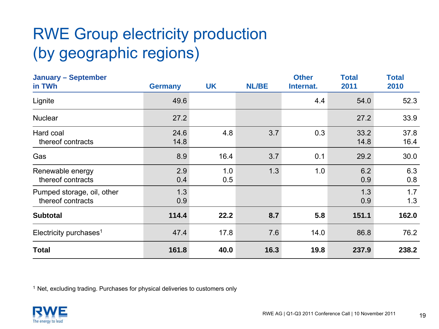### RWE Group electricity production (by geographic regions)

| <b>January - September</b><br>in TWh            | <b>Germany</b> | <b>UK</b>  | <b>NL/BE</b> | <b>Other</b><br>Internat. | <b>Total</b><br>2011 | <b>Total</b><br>2010 |
|-------------------------------------------------|----------------|------------|--------------|---------------------------|----------------------|----------------------|
| Lignite                                         | 49.6           |            |              | 4.4                       | 54.0                 | 52.3                 |
| <b>Nuclear</b>                                  | 27.2           |            |              |                           | 27.2                 | 33.9                 |
| Hard coal<br>thereof contracts                  | 24.6<br>14.8   | 4.8        | 3.7          | 0.3                       | 33.2<br>14.8         | 37.8<br>16.4         |
| Gas                                             | 8.9            | 16.4       | 3.7          | 0.1                       | 29.2                 | 30.0                 |
| Renewable energy<br>thereof contracts           | 2.9<br>0.4     | 1.0<br>0.5 | 1.3          | 1.0                       | 6.2<br>0.9           | 6.3<br>0.8           |
| Pumped storage, oil, other<br>thereof contracts | 1.3<br>0.9     |            |              |                           | 1.3<br>0.9           | 1.7<br>1.3           |
| <b>Subtotal</b>                                 | 114.4          | 22.2       | 8.7          | 5.8                       | 151.1                | 162.0                |
| Electricity purchases <sup>1</sup>              | 47.4           | 17.8       | 7.6          | 14.0                      | 86.8                 | 76.2                 |
| <b>Total</b>                                    | 161.8          | 40.0       | 16.3         | 19.8                      | 237.9                | 238.2                |

<sup>1</sup> Net, excluding trading. Purchases for physical deliveries to customers only

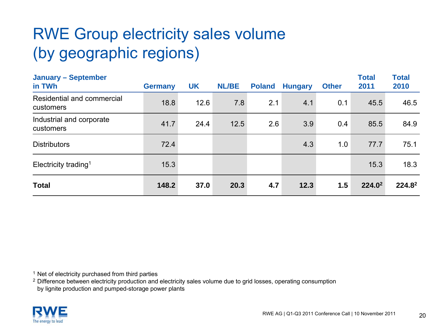### RWE Group electricity sales volume (by geographic regions)

| <b>January - September</b><br>in TWh    | <b>Germany</b> | <b>UK</b> | <b>NL/BE</b> | <b>Poland</b> | <b>Hungary</b> | <b>Other</b> | <b>Total</b><br>2011 | <b>Total</b><br>2010 |
|-----------------------------------------|----------------|-----------|--------------|---------------|----------------|--------------|----------------------|----------------------|
| Residential and commercial<br>customers | 18.8           | 12.6      | 7.8          | 2.1           | 4.1            | 0.1          | 45.5                 | 46.5                 |
| Industrial and corporate<br>customers   | 41.7           | 24.4      | 12.5         | 2.6           | 3.9            | 0.4          | 85.5                 | 84.9                 |
| <b>Distributors</b>                     | 72.4           |           |              |               | 4.3            | 1.0          | 77.7                 | 75.1                 |
| Electricity trading <sup>1</sup>        | 15.3           |           |              |               |                |              | 15.3                 | 18.3                 |
| <b>Total</b>                            | 148.2          | 37.0      | 20.3         | 4.7           | 12.3           | 1.5          | $224.0^2$            | $224.8^2$            |

<sup>1</sup> Net of electricity purchased from third parties

 $2$  Difference between electricity production and electricity sales volume due to grid losses, operating consumption

by lignite production and pumped-storage power plants

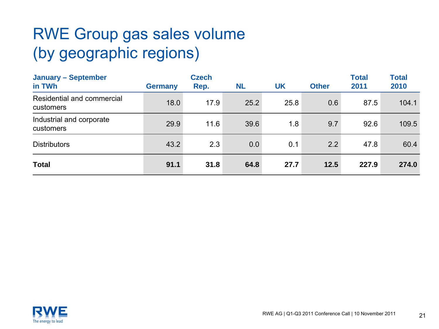### RWE Group gas sales volume (by geographic regions)

| <b>January - September</b><br>in TWh    | <b>Germany</b> | <b>Czech</b><br>Rep. | <b>NL</b> | <b>UK</b> | <b>Other</b> | <b>Total</b><br>2011 | <b>Total</b><br>2010 |
|-----------------------------------------|----------------|----------------------|-----------|-----------|--------------|----------------------|----------------------|
| Residential and commercial<br>customers | 18.0           | 17.9                 | 25.2      | 25.8      | 0.6          | 87.5                 | 104.1                |
| Industrial and corporate<br>customers   | 29.9           | 11.6                 | 39.6      | 1.8       | 9.7          | 92.6                 | 109.5                |
| <b>Distributors</b>                     | 43.2           | 2.3                  | 0.0       | 0.1       | 2.2          | 47.8                 | 60.4                 |
| <b>Total</b>                            | 91.1           | 31.8                 | 64.8      | 27.7      | 12.5         | 227.9                | 274.0                |

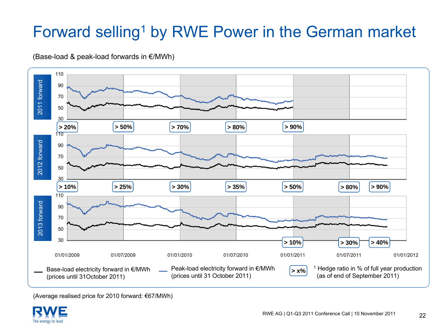### Forward selling<sup>1</sup> by RWE Power in the German market





(Average realised price for 2010 forward: €67/MWh)

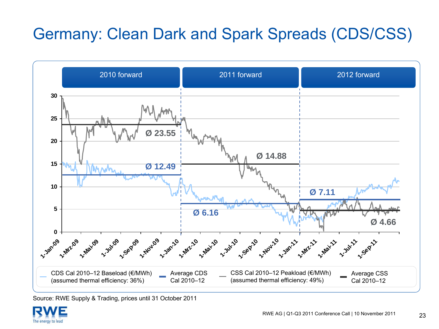### Germany: Clean Dark and Spark Spreads (CDS/CSS)



Source: RWE Supply & Trading, prices until 31 October 2011

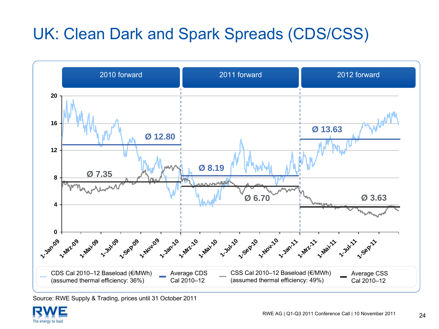### UK: Clean Dark and Spark Spreads (CDS/CSS)



Source: RWE Supply & Trading, prices until 31 October 2011

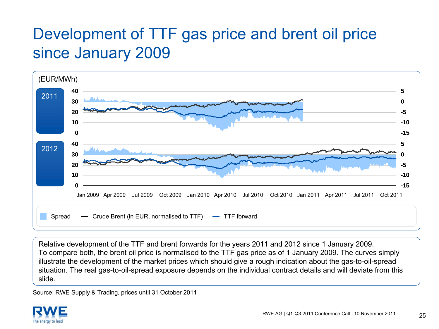### Development of TTF gas price and brent oil price since January 2009



Relative development of the TTF and brent forwards for the years 2011 and 2012 since 1 January 2009. To compare both, the brent oil price is normalised to the TTF gas price as of 1 January 2009. The curves simply illustrate the development of the market prices which should give a rough indication about the gas-to-oil-spread situation. The real gas-to-oil-spread exposure depends on the individual contract details and will deviate from this slide.

Source: RWE Supply & Trading, prices until 31 October 2011

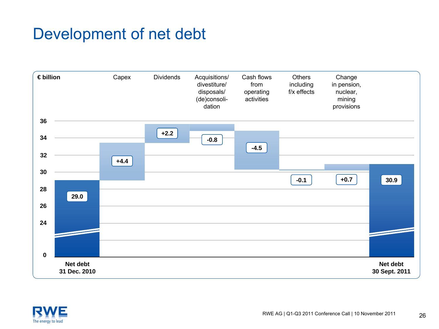### Development of net debt



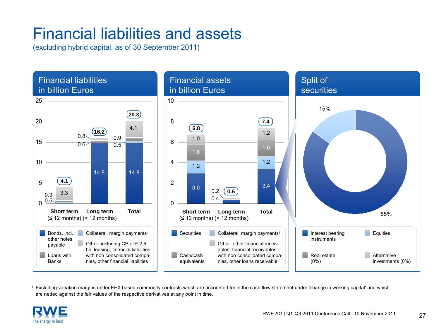### Financial liabilities and assets

(excluding hybrid capital, as of 30 September 2011)



1 Excluding variation margins under EEX based commodity contracts which are accounted for in the cash flow statement under 'change in working capital' and which are netted against the fair values of the respective derivatives at any point in time.

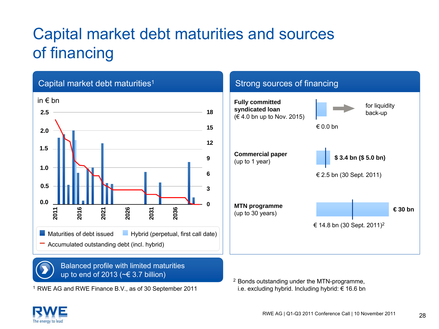### Capital market debt maturities and sources of financing



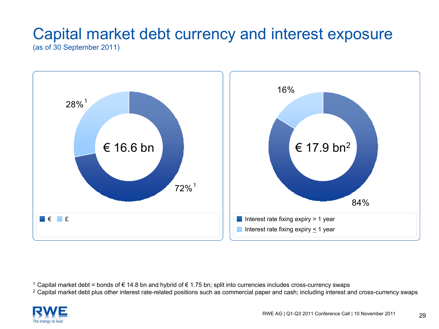## Capital market debt currency and interest exposure

(as of 30 September 2011)



1 Capital market debt = bonds of € 14.8 bn and hybrid of € 1.75 bn; split into currencies includes cross-currency swaps

<sup>2</sup> Capital market debt plus other interest rate-related positions such as commercial paper and cash; including interest and cross-currency swaps

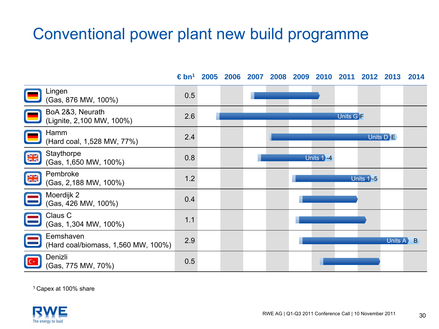#### Conventional power plant new build programme



1 Capex at 100% share

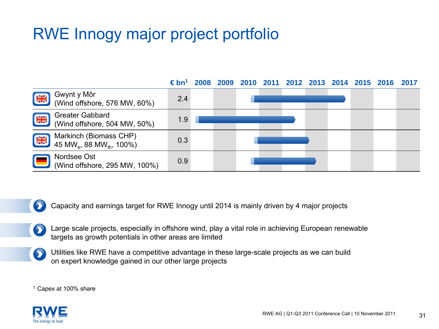### RWE Innogy major project portfolio



 $\bullet$ Capacity and earnings target for RWE Innogy until 2014 is mainly driven by 4 major projects

- Large scale projects, especially in offshore wind, play a vital role in achieving European renewable  $\bullet$ targets as growth potentials in other areas are limited
	- Utilities like RWE have a competitive advantage in these large-scale projects as we can build on expert knowledge gained in our other large projects

1 Capex at 100% share

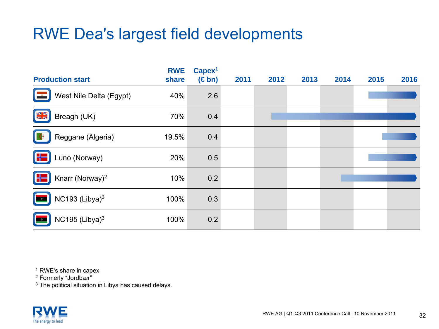### RWE Dea's largest field developments

| <b>Production start</b>                 | <b>RWE</b><br>share | Capex <sup>1</sup><br>$(\in$ bn) | 2011 | 2012 | 2013 | 2014 | 2015 | 2016 |
|-----------------------------------------|---------------------|----------------------------------|------|------|------|------|------|------|
| West Nile Delta (Egypt)                 | 40%                 | 2.6                              |      |      |      |      |      |      |
| $\frac{N}{2K}$<br>Breagh (UK)           | 70%                 | 0.4                              |      |      |      |      |      |      |
| Reggane (Algeria)                       | 19.5%               | 0.4                              |      |      |      |      |      |      |
| Luno (Norway)<br>$\oplus$               | 20%                 | 0.5                              |      |      |      |      |      |      |
| Knarr (Norway) <sup>2</sup><br>$\oplus$ | 10%                 | 0.2                              |      |      |      |      |      |      |
| NC193 (Libya) $3$                       | 100%                | 0.3                              |      |      |      |      |      |      |
| NC195 (Libya) $3$                       | 100%                | 0.2                              |      |      |      |      |      |      |

1 RWE's share in capex

2 Formerly "Jordbær"

 $^3$  The political situation in Libya has caused delays.